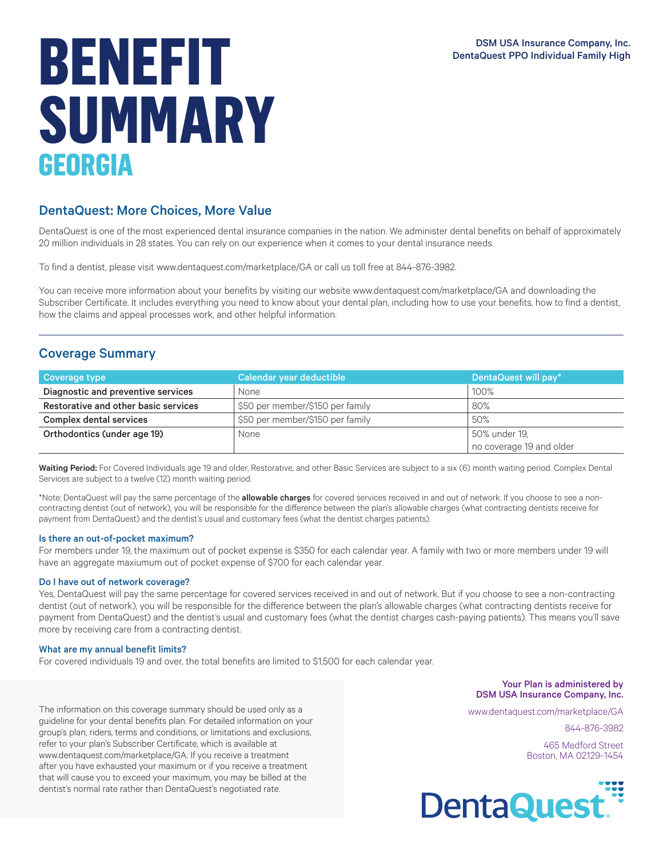# DentaQuest PPO Individual Family High **BENEFIT ISLAM** DentaQuest PPO Individual Family High **BENEFIT ISLAM** DentaQuest PPO Individual Family High **SUMMARY GEORGIA**

## DentaQuest: More Choices, More Value

DentaQuest is one of the most experienced dental insurance companies in the nation. We administer dental benefits on behalf of approximately 20 million individuals in 28 states. You can rely on our experience when it comes to your dental insurance needs.

To find a dentist, please visit www.dentaquest.com/marketplace/GA or call us toll free at 844-876-3982.

You can receive more information about your benefits by visiting our website www.dentaquest.com/marketplace/GA and downloading the Subscriber Certificate. It includes everything you need to know about your dental plan, including how to use your benefits, how to find a dentist, how the claims and appeal processes work, and other helpful information.

## Coverage Summary

| Coverage type                        | Calendar year deductible         | DentaQuest will pay*     |
|--------------------------------------|----------------------------------|--------------------------|
| Diagnostic and preventive services   | None                             | 100%                     |
| Restorative and other basic services | \$50 per member/\$150 per family | 80%                      |
| Complex dental services              | \$50 per member/\$150 per family | 50%                      |
| Orthodontics (under age 19)          | None                             | 50% under 19,            |
|                                      |                                  | no coverage 19 and older |

Waiting Period: For Covered Individuals age 19 and older, Restorative, and other Basic Services are subject to a six (6) month waiting period. Complex Dental Services are subject to a twelve (12) month waiting period.

\*Note: DentaQuest will pay the same percentage of the allowable charges for covered services received in and out of network. If you choose to see a noncontracting dentist (out of network), you will be responsible for the difference between the plan's allowable charges (what contracting dentists receive for payment from DentaQuest) and the dentist's usual and customary fees (what the dentist charges patients).

### Is there an out-of-pocket maximum?

For members under 19, the maximum out of pocket expense is \$350 for each calendar year. A family with two or more members under 19 will have an aggregate maxiumum out of pocket expense of \$700 for each calendar year.

#### Do I have out of network coverage?

Yes, DentaQuest will pay the same percentage for covered services received in and out of network. But if you choose to see a non-contracting dentist (out of network), you will be responsible for the difference between the plan's allowable charges (what contracting dentists receive for payment from DentaQuest) and the dentist's usual and customary fees (what the dentist charges cash-paying patients). This means you'll save more by receiving care from a contracting dentist.

#### What are my annual benefit limits?

For covered individuals 19 and over, the total benefits are limited to \$1,500 for each calendar year.

The information on this coverage summary should be used only as a guideline for your dental benefits plan. For detailed information on your group's plan, riders, terms and conditions, or limitations and exclusions, refer to your plan's Subscriber Certificate, which is available at www.dentaquest.com/marketplace/GA. If you receive a treatment after you have exhausted your maximum or if you receive a treatment that will cause you to exceed your maximum, you may be billed at the dentist's normal rate rather than DentaQuest's negotiated rate.

#### Your Plan is administered by DSM USA Insurance Company, Inc.

www.dentaquest.com/marketplace/GA

844-876-3982

465 Medford Street Boston, MA 02129-1454